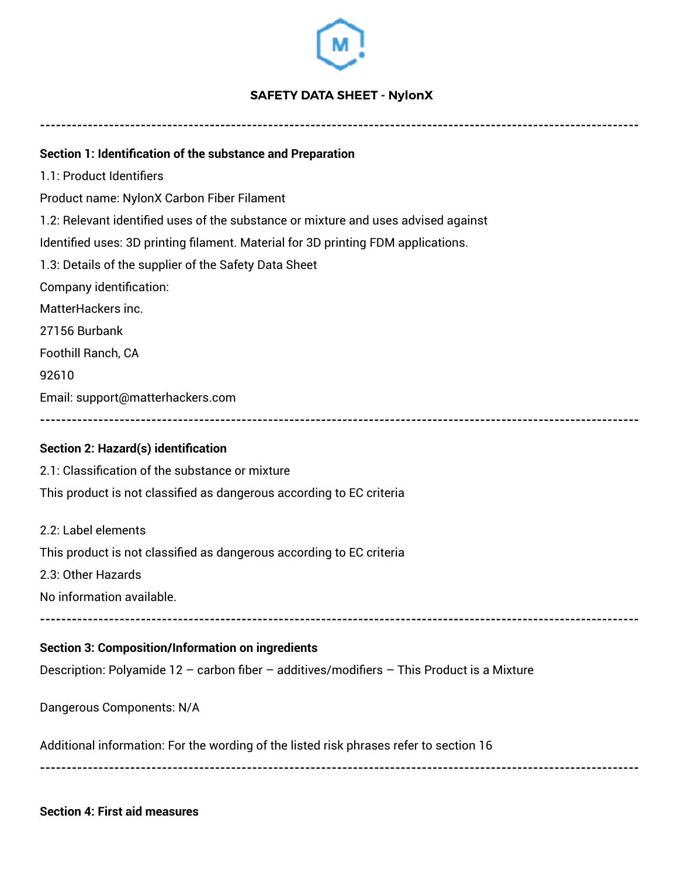

## **SAFETY DATA SHEET - NylonX**

**----------------------------------------------------------------------------------------------------------------- Section 1: Identification of the substance and Preparation**  1.1: Product Identifiers Product name: NylonX Carbon Fiber Filament 1.2: Relevant identified uses of the substance or mixture and uses advised against Identified uses: 3D printing filament. Material for 3D printing FDM applications. 1.3: Details of the supplier of the Safety Data Sheet Company identification: MatterHackers inc. 27156 Burbank Foothill Ranch, CA 92610 Email: support@matterhackers.com **----------------------------------------------------------------------------------------------------------------- Section 2: Hazard(s) identification**  2.1: Classification of the substance or mixture This product is not classified as dangerous according to EC criteria 2.2: Label elements This product is not classified as dangerous according to EC criteria 2.3: Other Hazards No information available. **----------------------------------------------------------------------------------------------------------------- Section 3: Composition/Information on ingredients**  Description: Polyamide 12 – carbon fiber – additives/modifiers – This Product is a Mixture Dangerous Components: N/A Additional information: For the wording of the listed risk phrases refer to section 16 **-----------------------------------------------------------------------------------------------------------------**

**Section 4: First aid measures**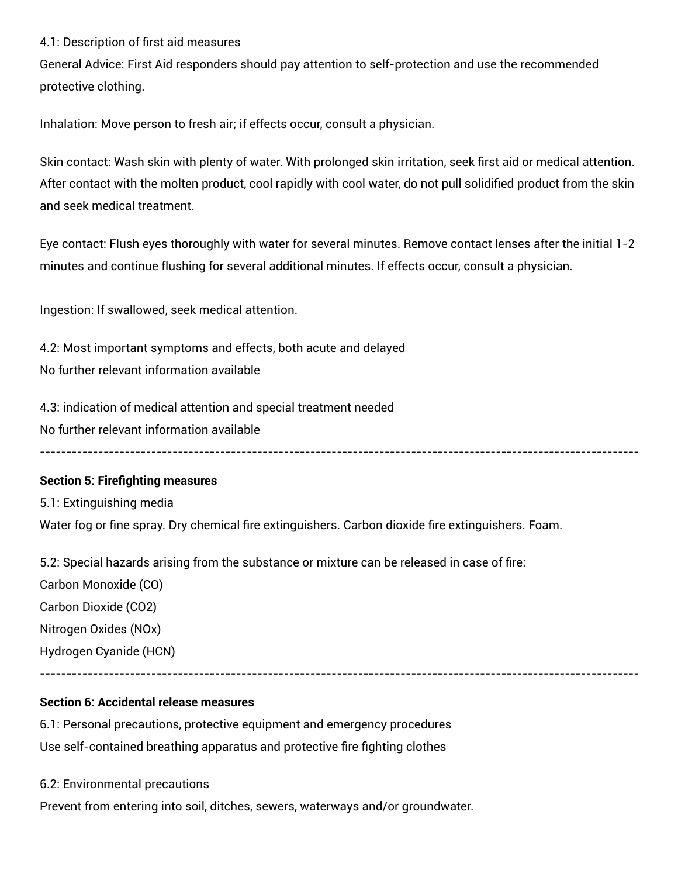## 4.1: Description of first aid measures

General Advice: First Aid responders should pay attention to self-protection and use the recommended protective clothing.

Inhalation: Move person to fresh air; if effects occur, consult a physician.

Skin contact: Wash skin with plenty of water. With prolonged skin irritation, seek first aid or medical attention. After contact with the molten product, cool rapidly with cool water, do not pull solidified product from the skin and seek medical treatment.

Eye contact: Flush eyes thoroughly with water for several minutes. Remove contact lenses after the initial 1-2 minutes and continue flushing for several additional minutes. If effects occur, consult a physician.

**-----------------------------------------------------------------------------------------------------------------**

Ingestion: If swallowed, seek medical attention.

4.2: Most important symptoms and effects, both acute and delayed No further relevant information available

4.3: indication of medical attention and special treatment needed No further relevant information available

## **Section 5: Firefighting measures**

5.1: Extinguishing media Water fog or fine spray. Dry chemical fire extinguishers. Carbon dioxide fire extinguishers. Foam.

5.2: Special hazards arising from the substance or mixture can be released in case of fire:

Carbon Monoxide (CO) Carbon Dioxide (CO2) Nitrogen Oxides (NOx)

Hydrogen Cyanide (HCN)

**-----------------------------------------------------------------------------------------------------------------**

# **Section 6: Accidental release measures**

6.1: Personal precautions, protective equipment and emergency procedures Use self-contained breathing apparatus and protective fire fighting clothes

6.2: Environmental precautions

Prevent from entering into soil, ditches, sewers, waterways and/or groundwater.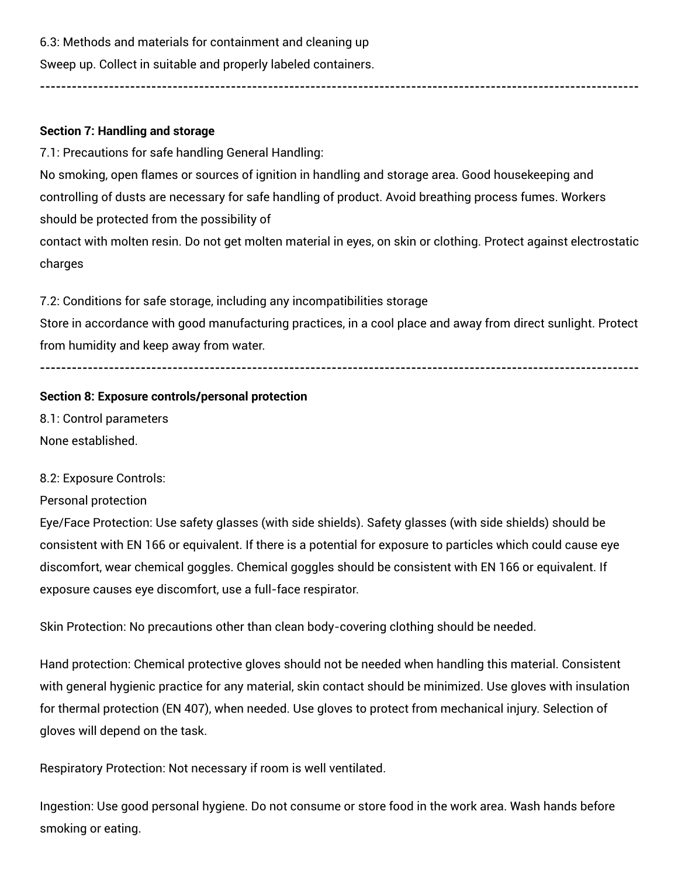6.3: Methods and materials for containment and cleaning up

Sweep up. Collect in suitable and properly labeled containers.

## **Section 7: Handling and storage**

7.1: Precautions for safe handling General Handling:

No smoking, open flames or sources of ignition in handling and storage area. Good housekeeping and controlling of dusts are necessary for safe handling of product. Avoid breathing process fumes. Workers should be protected from the possibility of contact with molten resin. Do not get molten material in eyes, on skin or clothing. Protect against electrostatic

**-----------------------------------------------------------------------------------------------------------------**

charges

7.2: Conditions for safe storage, including any incompatibilities storage

Store in accordance with good manufacturing practices, in a cool place and away from direct sunlight. Protect from humidity and keep away from water.

**-----------------------------------------------------------------------------------------------------------------**

**Section 8: Exposure controls/personal protection**  8.1: Control parameters

None established.

## 8.2: Exposure Controls:

Personal protection

Eye/Face Protection: Use safety glasses (with side shields). Safety glasses (with side shields) should be consistent with EN 166 or equivalent. If there is a potential for exposure to particles which could cause eye discomfort, wear chemical goggles. Chemical goggles should be consistent with EN 166 or equivalent. If exposure causes eye discomfort, use a full-face respirator.

Skin Protection: No precautions other than clean body-covering clothing should be needed.

Hand protection: Chemical protective gloves should not be needed when handling this material. Consistent with general hygienic practice for any material, skin contact should be minimized. Use gloves with insulation for thermal protection (EN 407), when needed. Use gloves to protect from mechanical injury. Selection of gloves will depend on the task.

Respiratory Protection: Not necessary if room is well ventilated.

Ingestion: Use good personal hygiene. Do not consume or store food in the work area. Wash hands before smoking or eating.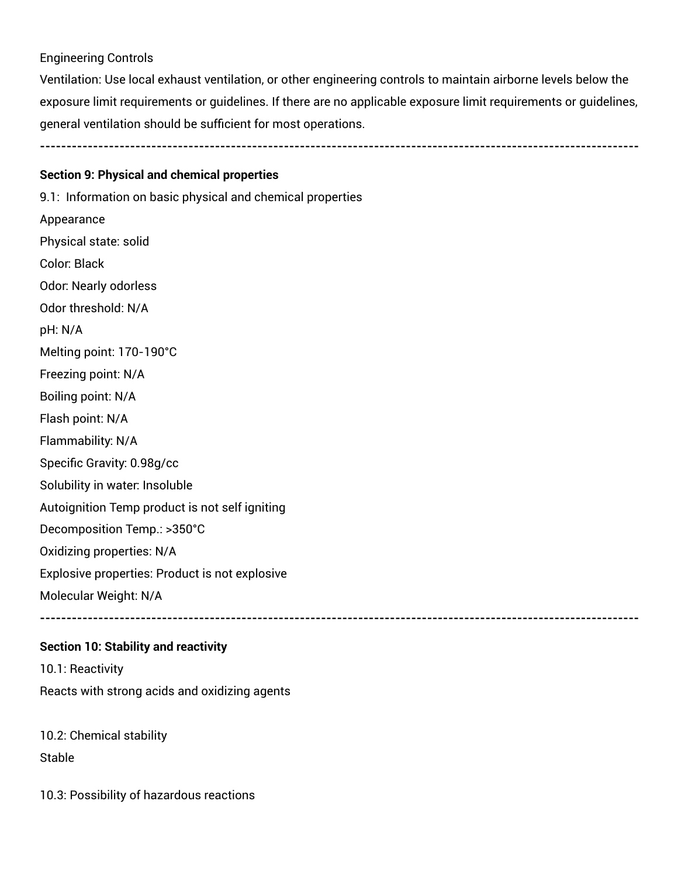# Engineering Controls

Ventilation: Use local exhaust ventilation, or other engineering controls to maintain airborne levels below the exposure limit requirements or guidelines. If there are no applicable exposure limit requirements or guidelines, general ventilation should be sufficient for most operations.

**-----------------------------------------------------------------------------------------------------------------**

**Section 9: Physical and chemical properties** 

9.1: Information on basic physical and chemical properties Appearance Physical state: solid Color: Black Odor: Nearly odorless Odor threshold: N/A pH: N/A Melting point: 170-190°C Freezing point: N/A Boiling point: N/A Flash point: N/A Flammability: N/A Specific Gravity: 0.98g/cc Solubility in water: Insoluble Autoignition Temp product is not self igniting Decomposition Temp.: >350°C Oxidizing properties: N/A Explosive properties: Product is not explosive Molecular Weight: N/A **-----------------------------------------------------------------------------------------------------------------**

**Section 10: Stability and reactivity** 

10.1: Reactivity Reacts with strong acids and oxidizing agents

10.2: Chemical stability **Stable** 

10.3: Possibility of hazardous reactions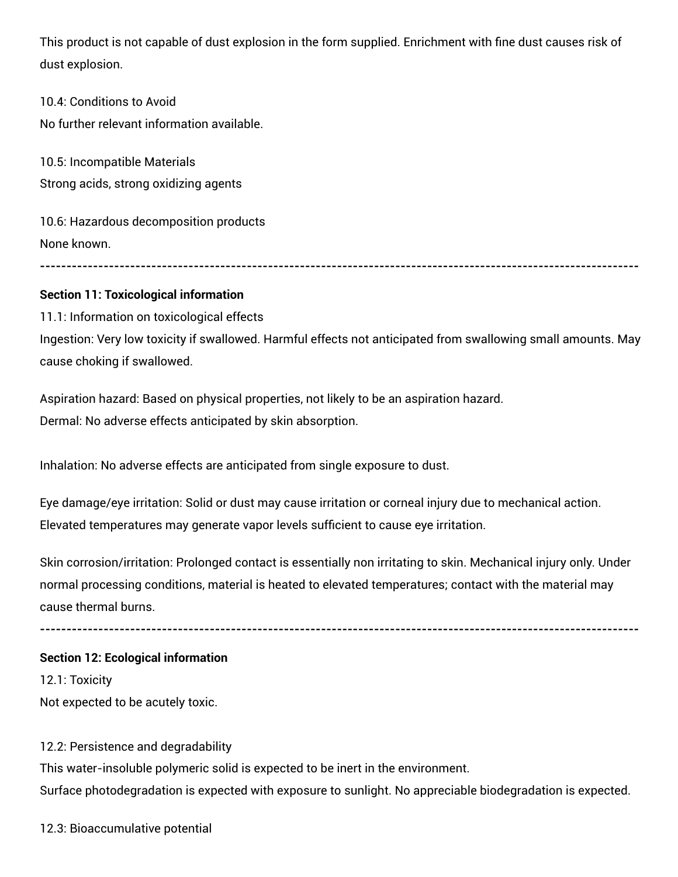This product is not capable of dust explosion in the form supplied. Enrichment with fine dust causes risk of dust explosion.

10.4: Conditions to Avoid No further relevant information available.

10.5: Incompatible Materials Strong acids, strong oxidizing agents

10.6: Hazardous decomposition products None known.

## **-----------------------------------------------------------------------------------------------------------------**

# **Section 11: Toxicological information**

11.1: Information on toxicological effects Ingestion: Very low toxicity if swallowed. Harmful effects not anticipated from swallowing small amounts. May cause choking if swallowed.

Aspiration hazard: Based on physical properties, not likely to be an aspiration hazard. Dermal: No adverse effects anticipated by skin absorption.

Inhalation: No adverse effects are anticipated from single exposure to dust.

Eye damage/eye irritation: Solid or dust may cause irritation or corneal injury due to mechanical action. Elevated temperatures may generate vapor levels sufficient to cause eye irritation.

Skin corrosion/irritation: Prolonged contact is essentially non irritating to skin. Mechanical injury only. Under normal processing conditions, material is heated to elevated temperatures; contact with the material may cause thermal burns.

**-----------------------------------------------------------------------------------------------------------------**

## **Section 12: Ecological information**

12.1: Toxicity Not expected to be acutely toxic.

## 12.2: Persistence and degradability

This water-insoluble polymeric solid is expected to be inert in the environment. Surface photodegradation is expected with exposure to sunlight. No appreciable biodegradation is expected.